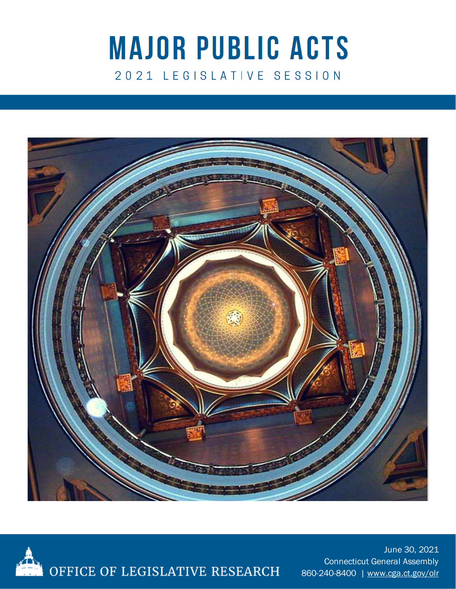# **MAJOR PUBLIC ACTS** 2021 LEGISLATIVE SESSION





June 30, 2021 Connecticut General Assembly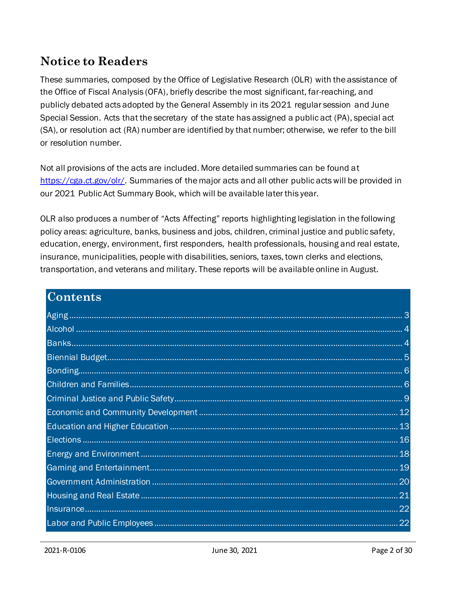## **Notice to Readers**

These summaries, composed by the Office of Legislative Research (OLR) with the assistance of the Office of Fiscal Analysis (OFA), briefly describe the most significant, far-reaching, and publicly debated acts adopted by the General Assembly in its 2021 regular session and June Special Session. Acts that the secretary of the state has assigned a public act (PA), special act (SA), or resolution act (RA) number are identified by that number; otherwise, we refer to the bill or resolution number.

Not all provisions of the acts are included. More detailed summaries can be found at [https://cga.ct.gov/olr/.](https://cga.ct.gov/olr/) Summaries of the major acts and all other public acts will be provided in our 2021 Public Act Summary Book, which will be available later this year.

OLR also produces a number of "Acts Affecting" reports highlighting legislation in the following policy areas: agriculture, banks, business and jobs, children, criminal justice and public safety, education, energy, environment, first responders, health professionals, housing and real estate, insurance, municipalities, people with disabilities, seniors, taxes, town clerks and elections, transportation, and veterans and military. These reports will be available online in August.

| <b>Contents</b> |    |
|-----------------|----|
|                 |    |
|                 |    |
|                 |    |
|                 |    |
|                 |    |
|                 |    |
|                 |    |
|                 |    |
|                 |    |
|                 |    |
|                 |    |
|                 |    |
|                 |    |
|                 |    |
|                 |    |
|                 | 22 |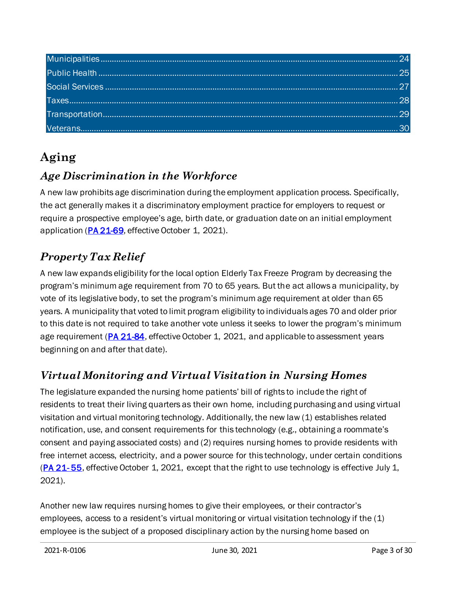# <span id="page-2-0"></span>**Aging**

#### *Age Discrimination in the Workforce*

A new law prohibits age discrimination during the employment application process. Specifically, the act generally makes it a discriminatory employment practice for employers to request or require a prospective employee's age, birth date, or graduation date on an initial employment application [\(PA 21-69,](https://www.cga.ct.gov/asp/cgabillstatus/cgabillstatus.asp?selBillType=Public+Act&which_year=2021&bill_num=69) effective October 1, 2021).

# *Property Tax Relief*

A new law expands eligibility for the local option Elderly Tax Freeze Program by decreasing the program's minimum age requirement from 70 to 65 years. But the act allows a municipality, by vote of its legislative body, to set the program's minimum age requirement at older than 65 years. A municipality that voted to limit program eligibility to individuals ages 70 and older prior to this date is not required to take another vote unless it seeks to lower the program's minimum age requirement [\(PA 21-84](http://cga.ct.gov/asp/cgabillstatus/cgabillstatus.asp?selBillType=Public+Act&which_year=2021&bill_num=84), effective October 1, 2021, and applicable to assessment years beginning on and after that date).

# *Virtual Monitoring and Virtual Visitation in Nursing Homes*

The legislature expanded the nursing home patients' bill of rights to include the right of residents to treat their living quarters as their own home, including purchasing and using virtual visitation and virtual monitoring technology. Additionally, the new law (1) establishes related notification, use, and consent requirements for this technology (e.g., obtaining a roommate's consent and paying associated costs) and (2) requires nursing homes to provide residents with free internet access, electricity, and a power source for this technology, under certain conditions (PA 21-55, effective October 1, 2021, except that the right to use technology is effective July 1, 2021).

Another new law requires nursing homes to give their employees, or their contractor's employees, access to a resident's virtual monitoring or virtual visitation technology if the (1) employee is the subject of a proposed disciplinary action by the nursing home based on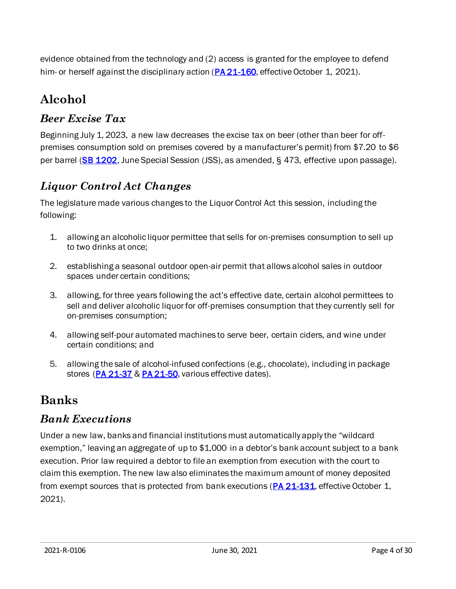evidence obtained from the technology and (2) access is granted for the employee to defend him- or herself against the disciplinary action ( $PA$  21-160, effective October 1, 2021).

# <span id="page-3-0"></span>**Alcohol**

#### *Beer Excise Tax*

Beginning July 1, 2023, a new law decreases the excise tax on beer (other than beer for offpremises consumption sold on premises covered by a manufacturer's permit) from \$7.20 to \$6 per barrel [\(SB 1202](https://www.cga.ct.gov/asp/cgabillstatus/cgabillstatus.asp?selBillType=Bill&which_year=2021&bill_num=1202), June Special Session (JSS), as amended, § 473, effective upon passage).

#### *Liquor Control Act Changes*

The legislature made various changes to the Liquor Control Act this session, including the following:

- 1. allowing an alcoholic liquor permittee that sells for on-premises consumption to sell up to two drinks at once;
- 2. establishing a seasonal outdoor open-air permit that allows alcohol sales in outdoor spaces under certain conditions;
- 3. allowing, for three years following the act's effective date, certain alcohol permittees to sell and deliver alcoholic liquor for off-premises consumption that they currently sell for on-premises consumption;
- 4. allowing self-pour automated machines to serve beer, certain ciders, and wine under certain conditions; and
- 5. allowing the sale of alcohol-infused confections (e.g., chocolate), including in package stores [\(PA 21-37](https://www.cga.ct.gov/asp/cgabillstatus/cgabillstatus.asp?selBillType=Bill&which_year=2021&bill_num=6100) [& PA 21-50,](https://www.cga.ct.gov/asp/cgabillstatus/cgabillstatus.asp?selBillType=Bill&which_year=2021&bill_num=894) various effective dates).

# <span id="page-3-1"></span>**Banks**

#### *Bank Executions*

Under a new law, banks and financial institutions must automatically apply the "wildcard exemption," leaving an aggregate of up to \$1,000 in a debtor's bank account subject to a bank execution. Prior law required a debtor to file an exemption from execution with the court to claim this exemption. The new law also eliminates the maximum amount of money deposited from exempt sources that is protected from bank executions [\(PA 21-131](https://www.cga.ct.gov/asp/cgabillstatus/cgabillstatus.asp?selBillType=Bill&which_year=2021&bill_num=6372), effective October 1, 2021).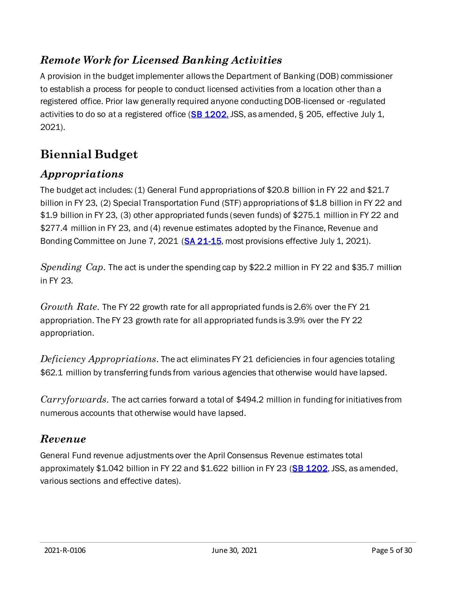#### *Remote Work for Licensed Banking Activities*

A provision in the budget implementer allows the Department of Banking (DOB) commissioner to establish a process for people to conduct licensed activities from a location other than a registered office. Prior law generally required anyone conducting DOB-licensed or -regulated activities to do so at a registered office ( $SB$  1202, JSS, as amended, § 205, effective July 1, 2021).

# <span id="page-4-0"></span>**Biennial Budget**

#### *Appropriations*

The budget act includes: (1) General Fund appropriations of \$20.8 billion in FY 22 and \$21.7 billion in FY 23, (2) Special Transportation Fund (STF) appropriations of \$1.8 billion in FY 22 and \$1.9 billion in FY 23, (3) other appropriated funds (seven funds) of \$275.1 million in FY 22 and \$277.4 million in FY 23, and (4) revenue estimates adopted by the Finance, Revenue and Bonding Committee on June 7, 2021 [\(SA 21-15](https://www.cga.ct.gov/asp/cgabillstatus/cgabillstatus.asp?selBillType=Bill&which_year=2021&bill_num=6689), most provisions effective July 1, 2021).

*Spending Cap.* The act is under the spending cap by \$22.2 million in FY 22 and \$35.7 million in FY 23.

*Growth Rate.* The FY 22 growth rate for all appropriated funds is 2.6% over the FY 21 appropriation. The FY 23 growth rate for all appropriated funds is 3.9% over the FY 22 appropriation.

*Deficiency Appropriations.* The act eliminates FY 21 deficiencies in four agencies totaling \$62.1 million by transferring funds from various agencies that otherwise would have lapsed.

*Carryforwards.* The act carries forward a total of \$494.2 million in funding for initiatives from numerous accounts that otherwise would have lapsed.

#### *Revenue*

General Fund revenue adjustments over the April Consensus Revenue estimates total approximately  $$1.042$  billion in FY 22 and  $$1.622$  billion in FY 23 [\(SB 1202](https://www.cga.ct.gov/asp/cgabillstatus/cgabillstatus.asp?selBillType=Bill&which_year=2021&bill_num=1202), JSS, as amended, various sections and effective dates).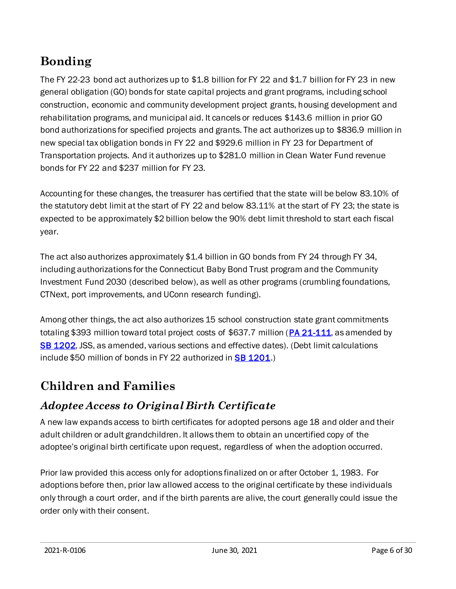# <span id="page-5-0"></span>**Bonding**

The FY 22-23 bond act authorizes up to \$1.8 billion for FY 22 and \$1.7 billion for FY 23 in new general obligation (GO) bonds for state capital projects and grant programs, including school construction, economic and community development project grants, housing development and rehabilitation programs, and municipal aid. It cancels or reduces \$143.6 million in prior GO bond authorizations for specified projects and grants. The act authorizes up to \$836.9 million in new special tax obligation bonds in FY 22 and \$929.6 million in FY 23 for Department of Transportation projects. And it authorizes up to \$281.0 million in Clean Water Fund revenue bonds for FY 22 and \$237 million for FY 23.

Accounting for these changes, the treasurer has certified that the state will be below 83.10% of the statutory debt limit at the start of FY 22 and below 83.11% at the start of FY 23; the state is expected to be approximately \$2 billion below the 90% debt limit threshold to start each fiscal year.

The act also authorizes approximately \$1.4 billion in GO bonds from FY 24 through FY 34, including authorizations for the Connecticut Baby Bond Trust program and the Community Investment Fund 2030 (described below), as well as other programs (crumbling foundations, CTNext, port improvements, and UConn research funding).

Among other things, the act also authorizes 15 school construction state grant commitments totaling \$393 million toward total project costs of \$637.7 million [\(PA 21-111](https://cga.ct.gov/asp/cgabillstatus/cgabillstatus.asp?selBillType=Public+Act&which_year=2021&bill_num=111), as amended by [SB 1202,](https://www.cga.ct.gov/asp/cgabillstatus/cgabillstatus.asp?selBillType=Bill&which_year=2021&bill_num=1202) JSS, as amended, various sections and effective dates). (Debt limit calculations include \$50 million of bonds in FY 22 authorized in **SB 1201**.)

# <span id="page-5-1"></span>**Children and Families**

## *Adoptee Access to Original Birth Certificate*

A new law expands access to birth certificates for adopted persons age 18 and older and their adult children or adult grandchildren. It allows them to obtain an uncertified copy of the adoptee's original birth certificate upon request, regardless of when the adoption occurred.

Prior law provided this access only for adoptions finalized on or after October 1, 1983. For adoptions before then, prior law allowed access to the original certificate by these individuals only through a court order, and if the birth parents are alive, the court generally could issue the order only with their consent.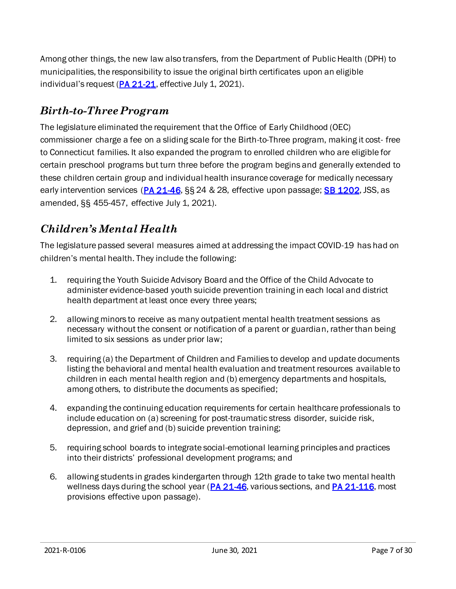Among other things, the new law also transfers, from the Department of Public Health (DPH) to municipalities, the responsibility to issue the original birth certificates upon an eligible individual's request  $(PA 21-21)$  $(PA 21-21)$ , effective July 1, 2021).

#### *Birth-to-Three Program*

The legislature eliminated the requirement that the Office of Early Childhood (OEC) commissioner charge a fee on a sliding scale for the Birth-to-Three program, making it cost- free to Connecticut families. It also expanded the program to enrolled children who are eligible for certain preschool programs but turn three before the program begins and generally extended to these children certain group and individual health insurance coverage for medically necessary early intervention services ( $PA$   $21-46$ ,  $\S$  $\S$   $24$  &  $28$ , effective upon passage; **[SB 1202](https://www.cga.ct.gov/asp/cgabillstatus/cgabillstatus.asp?selBillType=Bill&which_year=2021&bill_num=1202)**, JSS, as amended, §§ 455-457, effective July 1, 2021).

#### *Children's Mental Health*

The legislature passed several measures aimed at addressing the impact COVID-19 has had on children's mental health. They include the following:

- 1. requiring the Youth Suicide Advisory Board and the Office of the Child Advocate to administer evidence-based youth suicide prevention training in each local and district health department at least once every three years;
- 2. allowing minors to receive as many outpatient mental health treatment sessions as necessary without the consent or notification of a parent or guardian, rather than being limited to six sessions as under prior law;
- 3. requiring (a) the Department of Children and Families to develop and update documents listing the behavioral and mental health evaluation and treatment resources available to children in each mental health region and (b) emergency departments and hospitals, among others, to distribute the documents as specified;
- 4. expanding the continuing education requirements for certain healthcare professionals to include education on (a) screening for post-traumatic stress disorder, suicide risk, depression, and grief and (b) suicide prevention training;
- 5. requiring school boards to integrate social-emotional learning principles and practices into their districts' professional development programs; and
- 6. allowing students in grades kindergarten through 12th grade to take two mental health wellness days during the school year [\(PA 21-46](https://cga.ct.gov/asp/cgabillstatus/cgabillstatus.asp?selBillType=Public+Act&which_year=2021&bill_num=46), various sections, an[d PA 21-116](https://www.cga.ct.gov/asp/cgabillstatus/cgabillstatus.asp?selBillType=Bill&which_year=2021&bill_num=6510), most provisions effective upon passage).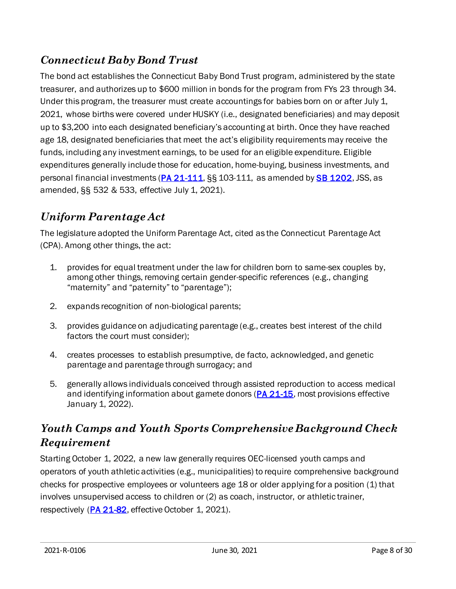#### *Connecticut Baby Bond Trust*

The bond act establishes the Connecticut Baby Bond Trust program, administered by the state treasurer, and authorizes up to \$600 million in bonds for the program from FYs 23 through 34. Under this program, the treasurer must create accountings for babies born on or after July 1, 2021, whose births were covered under HUSKY (i.e., designated beneficiaries) and may deposit up to \$3,200 into each designated beneficiary's accounting at birth. Once they have reached age 18, designated beneficiaries that meet the act's eligibility requirements may receive the funds, including any investment earnings, to be used for an eligible expenditure. Eligible expenditures generally include those for education, home-buying, business investments, and personal financial investments [\(PA 21-111](https://cga.ct.gov/asp/cgabillstatus/cgabillstatus.asp?selBillType=Public+Act&which_year=2021&bill_num=111), SS 103-111, as amended b[y SB 1202](https://www.cga.ct.gov/asp/cgabillstatus/cgabillstatus.asp?selBillType=Bill&which_year=2021&bill_num=1202), JSS, as amended, §§ 532 & 533, effective July 1, 2021).

#### *Uniform Parentage Act*

The legislature adopted the Uniform Parentage Act, cited as the Connecticut Parentage Act (CPA). Among other things, the act:

- 1. provides for equal treatment under the law for children born to same-sex couples by, among other things, removing certain gender-specific references (e.g., changing "maternity" and "paternity" to "parentage");
- 2. expands recognition of non-biological parents;
- 3. provides guidance on adjudicating parentage (e.g., creates best interest of the child factors the court must consider);
- 4. creates processes to establish presumptive, de facto, acknowledged, and genetic parentage and parentage through surrogacy; and
- 5. generally allows individuals conceived through assisted reproduction to access medical and identifying information about gamete donors [\(PA 21-15](https://www.cga.ct.gov/asp/cgabillstatus/cgabillstatus.asp?selBillType=Public+Act&which_year=2021&bill_num=15), most provisions effective January 1, 2022).

#### *Youth Camps and Youth Sports Comprehensive Background Check Requirement*

Starting October 1, 2022, a new law generally requires OEC-licensed youth camps and operators of youth athletic activities (e.g., municipalities) to require comprehensive background checks for prospective employees or volunteers age 18 or older applying for a position (1) that involves unsupervised access to children or (2) as coach, instructor, or athletic trainer, respectively [\(PA 21-82](https://www.cga.ct.gov/asp/cgabillstatus/cgabillstatus.asp?selBillType=Public+Act&which_year=2021&bill_num=82), effective October 1, 2021).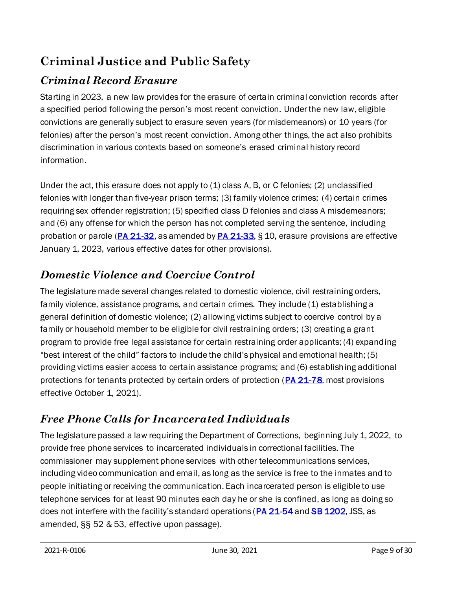# <span id="page-8-0"></span>**Criminal Justice and Public Safety**

# *Criminal Record Erasure*

Starting in 2023, a new law provides for the erasure of certain criminal conviction records after a specified period following the person's most recent conviction. Under the new law, eligible convictions are generally subject to erasure seven years (for misdemeanors) or 10 years (for felonies) after the person's most recent conviction. Among other things, the act also prohibits discrimination in various contexts based on someone's erased criminal history record information.

Under the act, this erasure does not apply to (1) class A, B, or C felonies; (2) unclassified felonies with longer than five-year prison terms; (3) family violence crimes; (4) certain crimes requiring sex offender registration; (5) specified class D felonies and class A misdemeanors; and (6) any offense for which the person has not completed serving the sentence, including probation or parole ( $PA$  21-32, as amended by  $PA$  21-33, § 10, erasure provisions are effective January 1, 2023, various effective dates for other provisions).

## *Domestic Violence and Coercive Control*

The legislature made several changes related to domestic violence, civil restraining orders, family violence, assistance programs, and certain crimes. They include (1) establishing a general definition of domestic violence; (2) allowing victims subject to coercive control by a family or household member to be eligible for civil restraining orders; (3) creating a grant program to provide free legal assistance for certain restraining order applicants; (4) expanding "best interest of the child" factors to include the child's physical and emotional health; (5) providing victims easier access to certain assistance programs; and (6) establishing additional protections for tenants protected by certain orders of protection [\(PA 21-78](https://www.cga.ct.gov/asp/cgabillstatus/cgabillstatus.asp?selBillType=Public+Act&which_year=2021&bill_num=78), most provisions effective October 1, 2021).

# *Free Phone Calls for Incarcerated Individuals*

The legislature passed a law requiring the Department of Corrections, beginning July 1, 2022, to provide free phone services to incarcerated individuals in correctional facilities. The commissioner may supplement phone services with other telecommunications services, including video communication and email, as long as the service is free to the inmates and to people initiating or receiving the communication. Each incarcerated person is eligible to use telephone services for at least 90 minutes each day he or she is confined, as long as doing so does not interfere with the facility's standard operations ([PA 21-54](https://www.cga.ct.gov/asp/cgabillstatus/cgabillstatus.asp?selBillType=Bill&which_year=2021&bill_num=972) an[d SB 1202](https://www.cga.ct.gov/asp/cgabillstatus/cgabillstatus.asp?selBillType=Bill&which_year=2021&bill_num=1202), JSS, as amended, §§ 52 & 53, effective upon passage).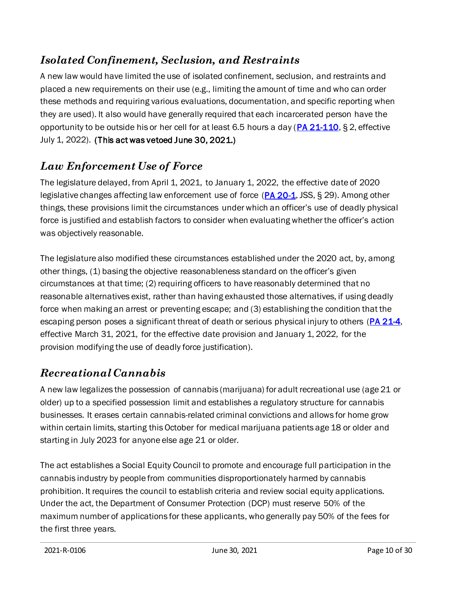#### *Isolated Confinement, Seclusion, and Restraints*

A new law would have limited the use of isolated confinement, seclusion, and restraints and placed a new requirements on their use (e.g., limiting the amount of time and who can order these methods and requiring various evaluations, documentation, and specific reporting when they are used). It also would have generally required that each incarcerated person have the opportunity to be outside his or her cell for at least 6.5 hours a day (PA  $21-110$ , § 2, effective July 1, 2022). (This act wa[s vetoed](https://gcc02.safelinks.protection.outlook.com/?url=https%3A%2F%2Fportal.ct.gov%2F-%2Fmedia%2FOffice-of-the-Governor%2FBill-notifications%2F2021%2FBill-Notification-2021-22.pdf&data=04%7C01%7CKarolina.Laflamme%40cga.ct.gov%7C1523ed66db8743e2c9db08d93c0b7eb6%7C3ec76714b1b4418a883232c46ec84226%7C0%7C0%7C637606842342310575%7CUnknown%7CTWFpbGZsb3d8eyJWIjoiMC4wLjAwMDAiLCJQIjoiV2luMzIiLCJBTiI6Ik1haWwiLCJXVCI6Mn0%3D%7C1000&sdata=MB5MP%2FNW6KY%2BESqr7ZtYbSXSXebf7R6NSL33E3DjiWU%3D&reserved=0) June 30, 2021.)

#### *Law Enforcement Use of Force*

The legislature delayed, from April 1, 2021, to January 1, 2022, the effective date of 2020 legislative changes affecting law enforcement use of force [\(PA 20-1](https://www.cga.ct.gov/asp/cgabillstatus/CGAbillstatus.asp?selBillType=Bill&bill_num=6004&which_year=2020), JSS, § 29). Among other things, these provisions limit the circumstances under which an officer's use of deadly physical force is justified and establish factors to consider when evaluating whether the officer's action was objectively reasonable.

The legislature also modified these circumstances established under the 2020 act, by, among other things, (1) basing the objective reasonableness standard on the officer's given circumstances at that time; (2) requiring officers to have reasonably determined that no reasonable alternatives exist, rather than having exhausted those alternatives, if using deadly force when making an arrest or preventing escape; and (3) establishing the condition that the escaping person poses a significant threat of death or serious physical injury to others (*PA 21-4*, effective March 31, 2021, for the effective date provision and January 1, 2022, for the provision modifying the use of deadly force justification).

#### *Recreational Cannabis*

A new law legalizes the possession of cannabis (marijuana) for adult recreational use (age 21 or older) up to a specified possession limit and establishes a regulatory structure for cannabis businesses. It erases certain cannabis-related criminal convictions and allows for home grow within certain limits, starting this October for medical marijuana patients age 18 or older and starting in July 2023 for anyone else age 21 or older.

The act establishes a Social Equity Council to promote and encourage full participation in the cannabis industry by people from communities disproportionately harmed by cannabis prohibition. It requires the council to establish criteria and review social equity applications. Under the act, the Department of Consumer Protection (DCP) must reserve 50% of the maximum number of applications for these applicants, who generally pay 50% of the fees for the first three years.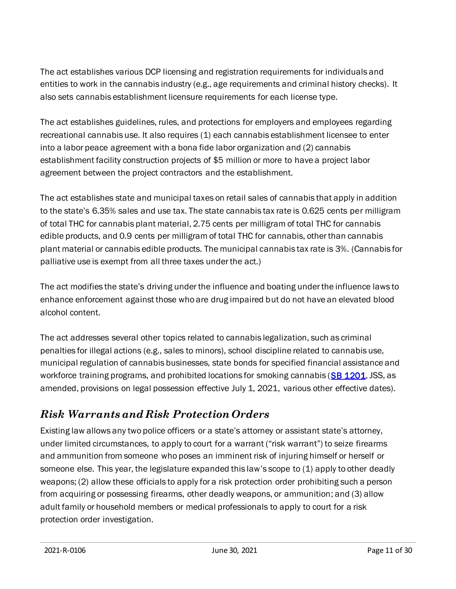The act establishes various DCP licensing and registration requirements for individuals and entities to work in the cannabis industry (e.g., age requirements and criminal history checks). It also sets cannabis establishment licensure requirements for each license type.

The act establishes guidelines, rules, and protections for employers and employees regarding recreational cannabis use. It also requires (1) each cannabis establishment licensee to enter into a labor peace agreement with a bona fide labor organization and (2) cannabis establishment facility construction projects of \$5 million or more to have a project labor agreement between the project contractors and the establishment.

The act establishes state and municipal taxes on retail sales of cannabis that apply in addition to the state's 6.35% sales and use tax. The state cannabis tax rate is 0.625 cents per milligram of total THC for cannabis plant material, 2.75 cents per milligram of total THC for cannabis edible products, and 0.9 cents per milligram of total THC for cannabis, other than cannabis plant material or cannabis edible products. The municipal cannabis tax rate is 3%. (Cannabis for palliative use is exempt from all three taxes under the act.)

The act modifies the state's driving under the influence and boating under the influence laws to enhance enforcement against those who are drug impaired but do not have an elevated blood alcohol content.

The act addresses several other topics related to cannabis legalization, such as criminal penalties for illegal actions (e.g., sales to minors), school discipline related to cannabis use, municipal regulation of cannabis businesses, state bonds for specified financial assistance and workforce training programs, and prohibited locations for smoking cannabis [\(SB 1201](https://www.cga.ct.gov/asp/cgabillstatus/cgabillstatus.asp?selBillType=Bill&which_year=2021&bill_num=1201), JSS, as amended, provisions on legal possession effective July 1, 2021, various other effective dates).

## *Risk Warrantsand Risk Protection Orders*

Existing law allows any two police officers or a state's attorney or assistant state's attorney, under limited circumstances, to apply to court for a warrant ("risk warrant") to seize firearms and ammunition from someone who poses an imminent risk of injuring himself or herself or someone else. This year, the legislature expanded this law's scope to (1) apply to other deadly weapons; (2) allow these officials to apply for a risk protection order prohibiting such a person from acquiring or possessing firearms, other deadly weapons, or ammunition; and (3) allow adult family or household members or medical professionals to apply to court for a risk protection order investigation.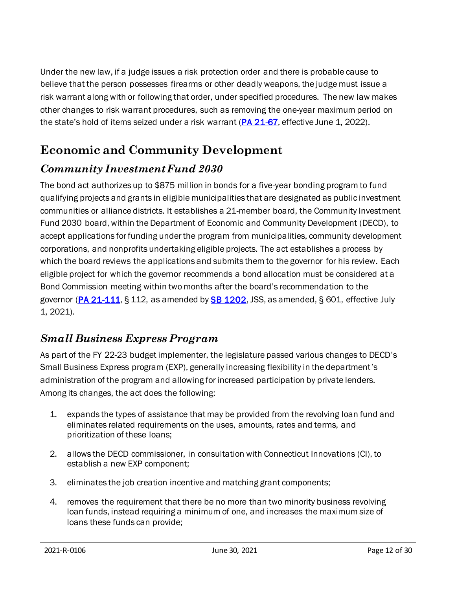Under the new law, if a judge issues a risk protection order and there is probable cause to believe that the person possesses firearms or other deadly weapons, the judge must issue a risk warrant along with or following that order, under specified procedures. The new law makes other changes to risk warrant procedures, such as removing the one-year maximum period on the state's hold of items seized under a risk warrant  $(PA 21-67)$  $(PA 21-67)$ , effective June 1, 2022).

# <span id="page-11-0"></span>**Economic and Community Development**

#### *Community Investment Fund 2030*

The bond act authorizes up to \$875 million in bonds for a five-year bonding program to fund qualifying projects and grants in eligible municipalities that are designated as public investment communities or alliance districts. It establishes a 21-member board, the Community Investment Fund 2030 board, within the Department of Economic and Community Development (DECD), to accept applications for funding under the program from municipalities, community development corporations, and nonprofits undertaking eligible projects. The act establishes a process by which the board reviews the applications and submits them to the governor for his review. Each eligible project for which the governor recommends a bond allocation must be considered at a Bond Commission meeting within two months after the board's recommendation to the governor [\(PA 21-111,](https://cga.ct.gov/asp/cgabillstatus/cgabillstatus.asp?selBillType=Public+Act&which_year=2021&bill_num=111) § 112, as amended by [SB 1202](https://www.cga.ct.gov/asp/cgabillstatus/cgabillstatus.asp?selBillType=Bill&which_year=2021&bill_num=1202), JSS, as amended, § 601, effective July 1, 2021).

#### *Small Business Express Program*

As part of the FY 22-23 budget implementer, the legislature passed various changes to DECD's Small Business Express program (EXP), generally increasing flexibility in the department's administration of the program and allowing for increased participation by private lenders. Among its changes, the act does the following:

- 1. expands the types of assistance that may be provided from the revolving loan fund and eliminates related requirements on the uses, amounts, rates and terms, and prioritization of these loans;
- 2. allows the DECD commissioner, in consultation with Connecticut Innovations (CI), to establish a new EXP component;
- 3. eliminates the job creation incentive and matching grant components;
- 4. removes the requirement that there be no more than two minority business revolving loan funds, instead requiring a minimum of one, and increases the maximum size of loans these funds can provide;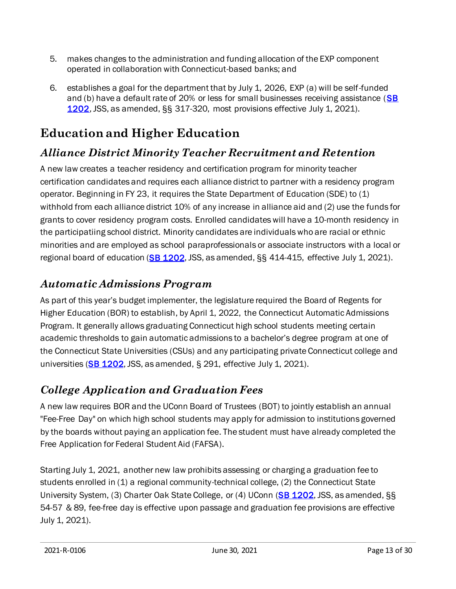- 5. makes changes to the administration and funding allocation of the EXP component operated in collaboration with Connecticut-based banks; and
- 6. establishes a goal for the department that by July 1, 2026, EXP (a) will be self-funded and (b) have a default rate of 20% or less for small businesses receiving assistance ( $SB$ [1202](https://www.cga.ct.gov/asp/cgabillstatus/cgabillstatus.asp?which_year=2021&selBillType=Bill&bill_num=1202), JSS, as amended, §§ 317-320, most provisions effective July 1, 2021).

# <span id="page-12-0"></span>**Education and Higher Education**

#### *Alliance District Minority Teacher Recruitment and Retention*

A new law creates a teacher residency and certification program for minority teacher certification candidates and requires each alliance district to partner with a residency program operator. Beginning in FY 23, it requires the State Department of Education (SDE) to (1) withhold from each alliance district 10% of any increase in alliance aid and (2) use the funds for grants to cover residency program costs. Enrolled candidates will have a 10-month residency in the participatiing school district. Minority candidates are individuals who are racial or ethnic minorities and are employed as school paraprofessionals or associate instructors with a local or regional board of education [\(SB 1202](https://www.cga.ct.gov/asp/cgabillstatus/cgabillstatus.asp?selBillType=Bill&which_year=2021&bill_num=1202), JSS, as amended, §§ 414-415, effective July 1, 2021).

#### *Automatic Admissions Program*

As part of this year's budget implementer, the legislature required the Board of Regents for Higher Education (BOR) to establish, by April 1, 2022, the Connecticut Automatic Admissions Program. It generally allows graduating Connecticut high school students meeting certain academic thresholds to gain automatic admissions to a bachelor's degree program at one of the Connecticut State Universities (CSUs) and any participating private Connecticut college and universities ( $SB$  1202, JSS, as amended, § 291, effective July 1, 2021).

## *College Application and Graduation Fees*

A new law requires BOR and the UConn Board of Trustees (BOT) to jointly establish an annual "Fee-Free Day" on which high school students may apply for admission to institutions governed by the boards without paying an application fee. The student must have already completed the Free Application for Federal Student Aid (FAFSA).

Starting July 1, 2021, another new law prohibits assessing or charging a graduation fee to students enrolled in (1) a regional community-technical college, (2) the Connecticut State University System, (3) Charter Oak State College, or (4) UConn [\(SB 1202](https://www.cga.ct.gov/asp/cgabillstatus/cgabillstatus.asp?selBillType=Bill&which_year=2021&bill_num=1202), JSS, as amended, §§ 54-57 & 89, fee-free day is effective upon passage and graduation fee provisions are effective July 1, 2021).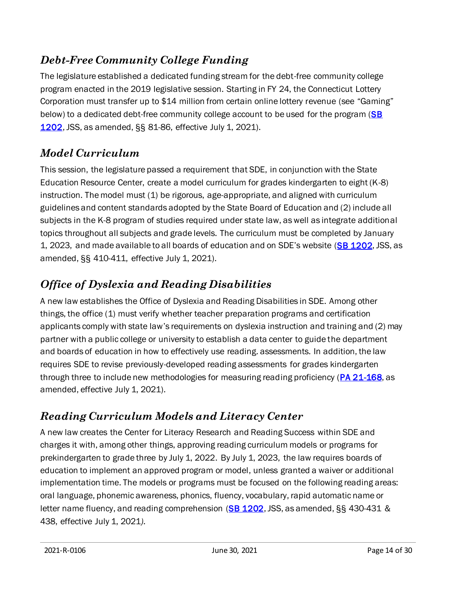#### *Debt-Free Community College Funding*

The legislature established a dedicated funding stream for the debt-free community college program enacted in the 2019 legislative session. Starting in FY 24, the Connecticut Lottery Corporation must transfer up to \$14 million from certain online lottery revenue (see "Gaming" below) to a dedicated debt-free community college account to be used for the program (SB [1202](https://www.cga.ct.gov/asp/cgabillstatus/cgabillstatus.asp?selBillType=Bill&which_year=2021&bill_num=1202), JSS, as amended, §§ 81-86, effective July 1, 2021).

## *Model Curriculum*

This session, the legislature passed a requirement that SDE, in conjunction with the State Education Resource Center, create a model curriculum for grades kindergarten to eight (K-8) instruction. The model must (1) be rigorous, age-appropriate, and aligned with curriculum guidelines and content standards adopted by the State Board of Education and (2) include all subjects in the K-8 program of studies required under state law, as well as integrate additional topics throughout all subjects and grade levels. The curriculum must be completed by January 1, 2023, and made available to all boards of education and on SDE's website [\(SB 1202](https://www.cga.ct.gov/asp/cgabillstatus/cgabillstatus.asp?selBillType=Bill&which_year=2021&bill_num=1202), JSS, as amended, §§ 410-411, effective July 1, 2021).

# *Office of Dyslexia and Reading Disabilities*

A new law establishes the Office of Dyslexia and Reading Disabilities in SDE. Among other things, the office (1) must verify whether teacher preparation programs and certification applicants comply with state law's requirements on dyslexia instruction and training and (2) may partner with a public college or university to establish a data center to guide the department and boards of education in how to effectively use reading. assessments. In addition, the law requires SDE to revise previously-developed reading assessments for grades kindergarten through three to include new methodologies for measuring reading proficiency [\(PA 21-168](https://www.cga.ct.gov/asp/cgabillstatus/cgabillstatus.asp?selBillType=Bill&which_year=2021&bill_num=6517), as amended, effective July 1, 2021).

# *Reading Curriculum Models and Literacy Center*

A new law creates the Center for Literacy Research and Reading Success within SDE and charges it with, among other things, approving reading curriculum models or programs for prekindergarten to grade three by July 1, 2022. By July 1, 2023, the law requires boards of education to implement an approved program or model, unless granted a waiver or additional implementation time. The models or programs must be focused on the following reading areas: oral language, phonemic awareness, phonics, fluency, vocabulary, rapid automatic name or letter name fluency, and reading comprehension  $(SB 1202, JSS, as amended,  $\S_{S}$  $(SB 1202, JSS, as amended,  $\S_{S}$  430-431 &$$ 438, effective July 1, 2021*).*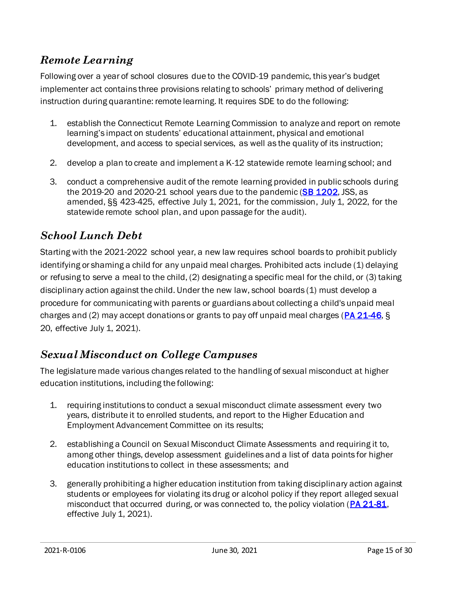#### *Remote Learning*

Following over a year of school closures due to the COVID-19 pandemic, this year's budget implementer act contains three provisions relating to schools' primary method of delivering instruction during quarantine: remote learning. It requires SDE to do the following:

- 1. establish the Connecticut Remote Learning Commission to analyze and report on remote learning's impact on students' educational attainment, physical and emotional development, and access to special services, as well as the quality of its instruction;
- 2. develop a plan to create and implement a K-12 statewide remote learning school; and
- 3. conduct a comprehensive audit of the remote learning provided in public schools during the 2019-20 and 2020-21 school years due to the pandemic [\(SB 1202](https://www.cga.ct.gov/asp/cgabillstatus/cgabillstatus.asp?selBillType=Bill&which_year=2021&bill_num=1202), JSS, as amended, §§ 423-425, effective July 1, 2021, for the commission, July 1, 2022, for the statewide remote school plan, and upon passage for the audit).

#### *School Lunch Debt*

Starting with the 2021-2022 school year, a new law requires school boards to prohibit publicly identifying or shaming a child for any unpaid meal charges. Prohibited acts include (1) delaying or refusing to serve a meal to the child, (2) designating a specific meal for the child, or (3) taking disciplinary action against the child. Under the new law, school boards (1) must develop a procedure for communicating with parents or guardians about collecting a child's unpaid meal charges and (2) may accept donations or grants to pay off unpaid meal charges ( $PA$  21-46, § 20, effective July 1, 2021).

#### *Sexual Misconduct on College Campuses*

The legislature made various changes related to the handling of sexual misconduct at higher education institutions, including the following:

- 1. requiring institutions to conduct a sexual misconduct climate assessment every two years, distribute it to enrolled students, and report to the Higher Education and Employment Advancement Committee on its results;
- 2. establishing a Council on Sexual Misconduct Climate Assessments and requiring it to, among other things, develop assessment guidelines and a list of data points for higher education institutions to collect in these assessments; and
- 3. generally prohibiting a higher education institution from taking disciplinary action against students or employees for violating its drug or alcohol policy if they report alleged sexual misconduct that occurred during, or was connected to, the policy violation [\(PA 21-81](https://www.cga.ct.gov/asp/cgabillstatus/cgabillstatus.asp?selBillType=Public+Act&which_year=2021&bill_num=81), effective July 1, 2021).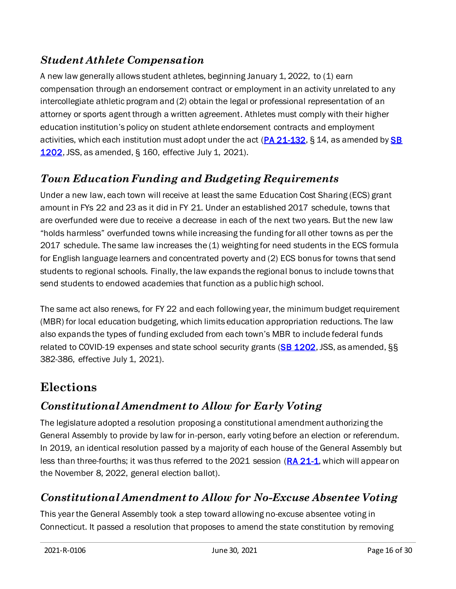#### *Student Athlete Compensation*

A new law generally allows student athletes, beginning January 1, 2022, to (1) earn compensation through an endorsement contract or employment in an activity unrelated to any intercollegiate athletic program and (2) obtain the legal or professional representation of an attorney or sports agent through a written agreement. Athletes must comply with their higher education institution's policy on student athlete endorsement contracts and employment activities, which each institution must adopt under the act [\(PA 21-132](https://www.cga.ct.gov/asp/cgabillstatus/cgabillstatus.asp?selBillType=Bill&which_year=2021&bill_num=6402), § 14, as amended by SB [1202](https://www.cga.ct.gov/asp/cgabillstatus/cgabillstatus.asp?selBillType=Bill&which_year=2021&bill_num=1202), JSS, as amended, § 160, effective July 1, 2021).

## *Town Education Funding and Budgeting Requirements*

Under a new law, each town will receive at least the same Education Cost Sharing (ECS) grant amount in FYs 22 and 23 as it did in FY 21. Under an established 2017 schedule, towns that are overfunded were due to receive a decrease in each of the next two years. But the new law "holds harmless" overfunded towns while increasing the funding for all other towns as per the 2017 schedule. The same law increases the (1) weighting for need students in the ECS formula for English language learners and concentrated poverty and (2) ECS bonus for towns that send students to regional schools. Finally, the law expands the regional bonus to include towns that send students to endowed academies that function as a public high school.

The same act also renews, for FY 22 and each following year, the minimum budget requirement (MBR) for local education budgeting, which limits education appropriation reductions. The law also expands the types of funding excluded from each town's MBR to include federal funds related to COVID-19 expenses and state school security grants ( $SB$  1202, JSS, as amended, §§ 382-386, effective July 1, 2021).

# <span id="page-15-0"></span>**Elections**

## *Constitutional Amendment to Allow for Early Voting*

The legislature adopted a resolution proposing a constitutional amendment authorizing the General Assembly to provide by law for in-person, early voting before an election or referendum. In 2019, an identical resolution passed by a majority of each house of the General Assembly but less than three-fourths; it was thus referred to the 2021 session [\(RA 21-1](https://www.cga.ct.gov/asp/cgabillstatus/cgabillstatus.asp?selBillType=Bill&which_year=2021&bill_num=HJ59), which will appear on the November 8, 2022, general election ballot).

## *Constitutional Amendment to Allow for No-Excuse Absentee Voting*

This year the General Assembly took a step toward allowing no-excuse absentee voting in Connecticut. It passed a resolution that proposes to amend the state constitution by removing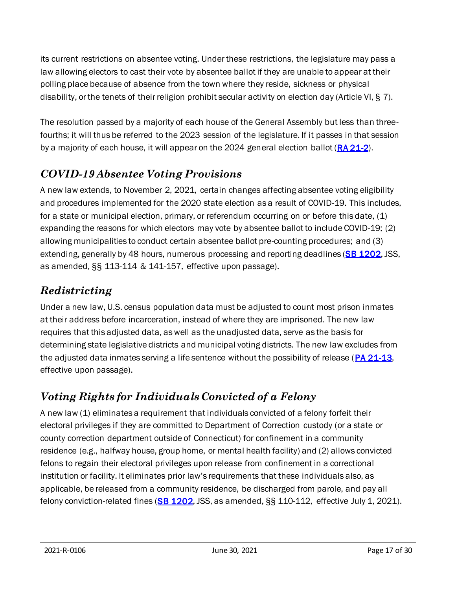its current restrictions on absentee voting. Under these restrictions, the legislature may pass a law allowing electors to cast their vote by absentee ballot if they are unable to appear at their polling place because of absence from the town where they reside, sickness or physical disability, or the tenets of their religion prohibit secular activity on election day (Article VI, § 7).

The resolution passed by a majority of each house of the General Assembly but less than threefourths; it will thus be referred to the 2023 session of the legislature. If it passes in that session by a majority of each house, it will appear on the 2024 general election ballot [\(RA 21-2](https://www.cga.ct.gov/asp/cgabillstatus/cgabillstatus.asp?selBillType=Bill&which_year=2021&bill_num=HJ58)).

#### *COVID-19 Absentee Voting Provisions*

A new law extends, to November 2, 2021, certain changes affecting absentee voting eligibility and procedures implemented for the 2020 state election as a result of COVID-19. This includes, for a state or municipal election, primary, or referendum occurring on or before this date, (1) expanding the reasons for which electors may vote by absentee ballot to include COVID-19; (2) allowing municipalities to conduct certain absentee ballot pre-counting procedures; and (3) extending, generally by 48 hours, numerous processing and reporting deadlines [\(SB 1202](https://www.cga.ct.gov/asp/cgabillstatus/cgabillstatus.asp?selBillType=Bill&which_year=2021&bill_num=1202), JSS, as amended, §§ 113-114 & 141-157, effective upon passage).

## *Redistricting*

Under a new law, U.S. census population data must be adjusted to count most prison inmates at their address before incarceration, instead of where they are imprisoned. The new law requires that this adjusted data, as well as the unadjusted data, serve as the basis for determining state legislative districts and municipal voting districts. The new law excludes from the adjusted data inmates serving a life sentence without the possibility of release [\(PA 21-13](https://www.cga.ct.gov/asp/cgabillstatus/cgabillstatus.asp?selBillType=Bill&which_year=2021&bill_num=753), effective upon passage).

# *Voting Rights for Individuals Convicted of a Felony*

A new law (1) eliminates a requirement that individuals convicted of a felony forfeit their electoral privileges if they are committed to Department of Correction custody (or a state or county correction department outside of Connecticut) for confinement in a community residence (e.g., halfway house, group home, or mental health facility) and (2) allows convicted felons to regain their electoral privileges upon release from confinement in a correctional institution or facility. It eliminates prior law's requirements that these individuals also, as applicable, be released from a community residence, be discharged from parole, and pay all felony conviction-related fines  $(SB 1202, JSS, as amended,  $\S\S 110-112$ , effective July 1, 2021).$  $(SB 1202, JSS, as amended,  $\S\S 110-112$ , effective July 1, 2021).$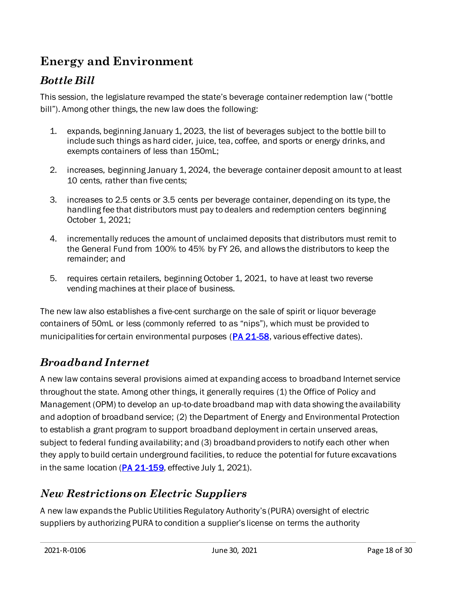# <span id="page-17-0"></span>**Energy and Environment**

#### *Bottle Bill*

This session, the legislature revamped the state's beverage container redemption law ("bottle bill"). Among other things, the new law does the following:

- 1. expands, beginning January 1, 2023, the list of beverages subject to the bottle bill to include such things as hard cider, juice, tea, coffee, and sports or energy drinks, and exempts containers of less than 150mL;
- 2. increases, beginning January 1, 2024, the beverage container deposit amount to at least 10 cents, rather than five cents;
- 3. increases to 2.5 cents or 3.5 cents per beverage container, depending on its type, the handling fee that distributors must pay to dealers and redemption centers beginning October 1, 2021;
- 4. incrementally reduces the amount of unclaimed deposits that distributors must remit to the General Fund from 100% to 45% by FY 26, and allows the distributors to keep the remainder; and
- 5. requires certain retailers, beginning October 1, 2021, to have at least two reverse vending machines at their place of business.

The new law also establishes a five-cent surcharge on the sale of spirit or liquor beverage containers of 50mL or less (commonly referred to as "nips"), which must be provided to municipalities for certain environmental purposes [\(PA 21-58](https://www.cga.ct.gov/asp/cgabillstatus/cgabillstatus.asp?selBillType=Bill&which_year=2021&bill_num=1037), various effective dates).

#### *Broadband Internet*

A new law contains several provisions aimed at expanding access to broadband Internet service throughout the state. Among other things, it generally requires (1) the Office of Policy and Management (OPM) to develop an up-to-date broadband map with data showing the availability and adoption of broadband service; (2) the Department of Energy and Environmental Protection to establish a grant program to support broadband deployment in certain unserved areas, subject to federal funding availability; and (3) broadband providers to notify each other when they apply to build certain underground facilities, to reduce the potential for future excavations in the same location ( $PA$   $21-159$ , effective July 1, 2021).

#### *New Restrictions on Electric Suppliers*

A new law expands the Public Utilities Regulatory Authority's (PURA) oversight of electric suppliers by authorizing PURA to condition a supplier's license on terms the authority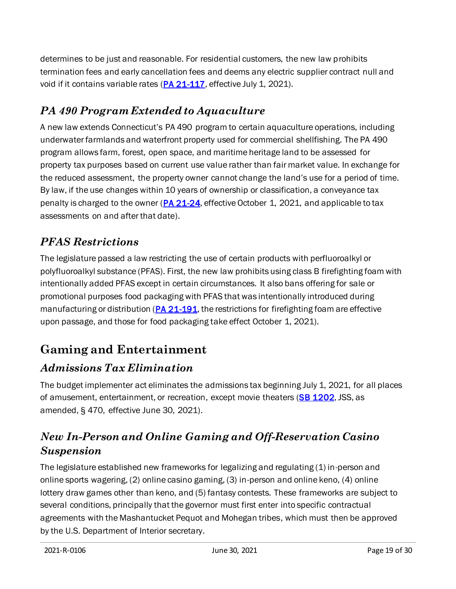determines to be just and reasonable. For residential customers, the new law prohibits termination fees and early cancellation fees and deems any electric supplier contract null and void if it contains variable rates [\(PA 21-117](https://cga.ct.gov/asp/cgabillstatus/cgabillstatus.asp?selBillType=Bill&which_year=2021&bill_num=6526), effective July 1, 2021).

## *PA 490 Program Extended to Aquaculture*

A new law extends Connecticut's PA 490 program to certain aquaculture operations, including underwater farmlands and waterfront property used for commercial shellfishing. The PA 490 program allows farm, forest, open space, and maritime heritage land to be assessed for property tax purposes based on current use value rather than fair market value. In exchange for the reduced assessment, the property owner cannot change the land's use for a period of time. By law, if the use changes within 10 years of ownership or classification, a conveyance tax penalty is charged to the owner ( $PA$   $21-24$ , effective October 1, 2021, and applicable to tax assessments on and after that date).

#### *PFAS Restrictions*

The legislature passed a law restricting the use of certain products with perfluoroalkyl or polyfluoroalkyl substance (PFAS). First, the new law prohibits using class B firefighting foam with intentionally added PFAS except in certain circumstances. It also bans offering for sale or promotional purposes food packaging with PFAS that was intentionally introduced during manufacturing or distribution ( $PA$  21-191, the restrictions for firefighting foam are effective upon passage, and those for food packaging take effect October 1, 2021).

# <span id="page-18-0"></span>**Gaming and Entertainment**

#### *Admissions Tax Elimination*

The budget implementer act eliminates the admissions tax beginning July 1, 2021, for all places of amusement, entertainment, or recreation, except movie theaters [\(SB 1202](https://www.cga.ct.gov/asp/cgabillstatus/cgabillstatus.asp?selBillType=Bill&which_year=2021&bill_num=1202), JSS, as amended, § 470, effective June 30, 2021).

#### *New In-Person and Online Gaming and Off-Reservation Casino Suspension*

The legislature established new frameworks for legalizing and regulating (1) in-person and online sports wagering, (2) online casino gaming, (3) in-person and online keno, (4) online lottery draw games other than keno, and (5) fantasy contests. These frameworks are subject to several conditions, principally that the governor must first enter into specific contractual agreements with the Mashantucket Pequot and Mohegan tribes, which must then be approved by the U.S. Department of Interior secretary.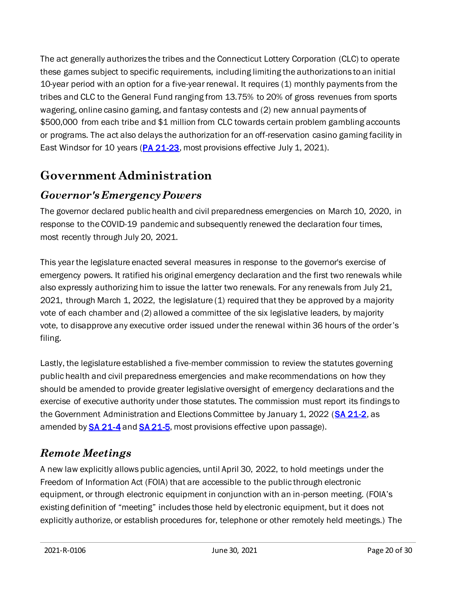The act generally authorizes the tribes and the Connecticut Lottery Corporation (CLC) to operate these games subject to specific requirements, including limiting the authorizations to an initial 10-year period with an option for a five-year renewal. It requires (1) monthly payments from the tribes and CLC to the General Fund ranging from 13.75% to 20% of gross revenues from sports wagering, online casino gaming, and fantasy contests and (2) new annual payments of \$500,000 from each tribe and \$1 million from CLC towards certain problem gambling accounts or programs. The act also delays the authorization for an off-reservation casino gaming facility in East Windsor for 10 years [\(PA 21-23](https://www.cga.ct.gov/asp/cgabillstatus/cgabillstatus.asp?selBillType=Public+Act&which_year=2021&bill_num=23), most provisions effective July 1, 2021).

# <span id="page-19-0"></span>**Government Administration**

#### *Governor's Emergency Powers*

The governor declared public health and civil preparedness emergencies on March 10, 2020, in response to the COVID-19 pandemic and subsequently renewed the declaration four times, most recently through July 20, 2021.

This year the legislature enacted several measures in response to the governor's exercise of emergency powers. It ratified his original emergency declaration and the first two renewals while also expressly authorizing him to issue the latter two renewals. For any renewals from July 21, 2021, through March 1, 2022, the legislature (1) required that they be approved by a majority vote of each chamber and (2) allowed a committee of the six legislative leaders, by majority vote, to disapprove any executive order issued under the renewal within 36 hours of the order's filing.

Lastly, the legislature established a five-member commission to review the statutes governing public health and civil preparedness emergencies and make recommendations on how they should be amended to provide greater legislative oversight of emergency declarations and the exercise of executive authority under those statutes. The commission must report its findings to the Government Administration and Elections Committee by January 1, 2022 [\(SA 21-2](https://www.cga.ct.gov/asp/cgabillstatus/cgabillstatus.asp?selBillType=Bill&which_year=2021&bill_num=6672), as amended by **SA 21-4 an[d SA 21-5](https://www.cga.ct.gov/asp/cgabillstatus/cgabillstatus.asp?selBillType=Bill&which_year=2021&bill_num=5653)**, most provisions effective upon passage).

## *Remote Meetings*

A new law explicitly allows public agencies, until April 30, 2022, to hold meetings under the Freedom of Information Act (FOIA) that are accessible to the public through electronic equipment, or through electronic equipment in conjunction with an in-person meeting. (FOIA's existing definition of "meeting" includes those held by electronic equipment, but it does not explicitly authorize, or establish procedures for, telephone or other remotely held meetings.) The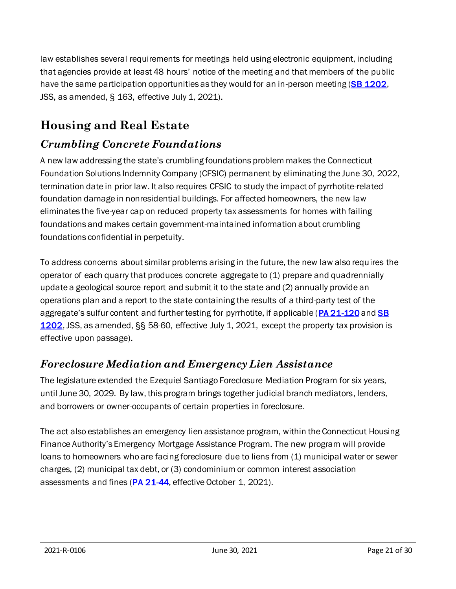law establishes several requirements for meetings held using electronic equipment, including that agencies provide at least 48 hours' notice of the meeting and that members of the public have the same participation opportunities as they would for an in-person meeting [\(SB 1202](https://www.cga.ct.gov/asp/cgabillstatus/cgabillstatus.asp?selBillType=Bill&which_year=2021&bill_num=1202), JSS, as amended, § 163, effective July 1, 2021).

# <span id="page-20-0"></span>**Housing and Real Estate**

#### *Crumbling Concrete Foundations*

A new law addressing the state's crumbling foundations problem makes the Connecticut Foundation Solutions Indemnity Company (CFSIC) permanent by eliminating the June 30, 2022, termination date in prior law. It also requires CFSIC to study the impact of pyrrhotite-related foundation damage in nonresidential buildings. For affected homeowners, the new law eliminates the five-year cap on reduced property tax assessments for homes with failing foundations and makes certain government-maintained information about crumbling foundations confidential in perpetuity.

To address concerns about similar problems arising in the future, the new law also requires the operator of each quarry that produces concrete aggregate to (1) prepare and quadrennially update a geological source report and submit it to the state and (2) annually provide an operations plan and a report to the state containing the results of a third-party test of the aggregate's sulfur content and further testing for pyrrhotite, if applicable ([PA 21-120](https://gcc02.safelinks.protection.outlook.com/?url=https%3A%2F%2Fwww.cga.ct.gov%2Fasp%2Fcgabillstatus%2Fcgabillstatus.asp%3FselBillType%3DBill%26which_year%3D2021%26bill_num%3D6646&data=04%7C01%7CAlex.Reger%40cga.ct.gov%7Cb887d774161049ddf74008d93276ca39%7C3ec76714b1b4418a883232c46ec84226%7C0%7C0%7C637596308055264738%7CUnknown%7CTWFpbGZsb3d8eyJWIjoiMC4wLjAwMDAiLCJQIjoiV2luMzIiLCJBTiI6Ik1haWwiLCJXVCI6Mn0%3D%7C1000&sdata=nlkT%2FUaEFCI4r0eOP4OXkAjmD%2Bz%2FYoFIKJpnchj8z7w%3D&reserved=0) and SB [1202](https://gcc02.safelinks.protection.outlook.com/?url=https%3A%2F%2Fcga.ct.gov%2Fasp%2Fcgabillstatus%2Fcgabillstatus.asp%3FselBillType%3DBill%26which_year%3D2021%26bill_num%3D1202&data=04%7C01%7CAlex.Reger%40cga.ct.gov%7Cb887d774161049ddf74008d93276ca39%7C3ec76714b1b4418a883232c46ec84226%7C0%7C0%7C637596308055274695%7CUnknown%7CTWFpbGZsb3d8eyJWIjoiMC4wLjAwMDAiLCJQIjoiV2luMzIiLCJBTiI6Ik1haWwiLCJXVCI6Mn0%3D%7C1000&sdata=3NAH%2BRZekOC2w6PCmtTmY2tAlIES3ChGC1AFD8hpyfw%3D&reserved=0), JSS, as amended, §§ 58-60, effective July 1, 2021, except the property tax provision is effective upon passage).

#### *Foreclosure Mediation and Emergency Lien Assistance*

The legislature extended the Ezequiel Santiago Foreclosure Mediation Program for six years, until June 30, 2029. By law, this program brings together judicial branch mediators, lenders, and borrowers or owner-occupants of certain properties in foreclosure.

The act also establishes an emergency lien assistance program, within the Connecticut Housing Finance Authority's Emergency Mortgage Assistance Program. The new program will provide loans to homeowners who are facing foreclosure due to liens from (1) municipal water or sewer charges, (2) municipal tax debt, or (3) condominium or common interest association assessments and fines [\(PA 21-44,](https://www.cga.ct.gov/asp/cgabillstatus/cgabillstatus.asp?selBillType=Public+Act&which_year=2021&bill_num=44) effective October 1, 2021).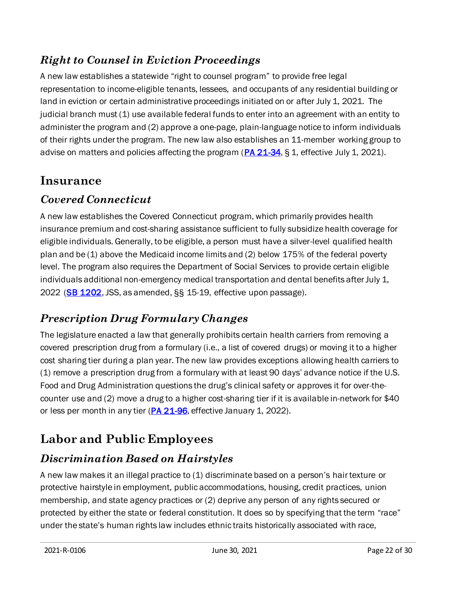#### *Right to Counsel in Eviction Proceedings*

A new law establishes a statewide "right to counsel program" to provide free legal representation to income-eligible tenants, lessees, and occupants of any residential building or land in eviction or certain administrative proceedings initiated on or after July 1, 2021. The judicial branch must (1) use available federal funds to enter into an agreement with an entity to administer the program and (2) approve a one-page, plain-language notice to inform individuals of their rights under the program. The new law also establishes an 11-member working group to advise on matters and policies affecting the program  $(PA 21-34, S 1)$  $(PA 21-34, S 1)$ , effective July 1, 2021).

# <span id="page-21-0"></span>**Insurance**

## *Covered Connecticut*

A new law establishes the Covered Connecticut program, which primarily provides health insurance premium and cost-sharing assistance sufficient to fully subsidize health coverage for eligible individuals. Generally, to be eligible, a person must have a silver-level qualified health plan and be (1) above the Medicaid income limits and (2) below 175% of the federal poverty level. The program also requires the Department of Social Services to provide certain eligible individuals additional non-emergency medical transportation and dental benefits after July 1, 2022 [\(SB 1202](https://www.cga.ct.gov/asp/cgabillstatus/cgabillstatus.asp?selBillType=Bill&which_year=2021&bill_num=1202), JSS, as amended, §§ 15-19, effective upon passage).

## *Prescription Drug Formulary Changes*

The legislature enacted a law that generally prohibits certain health carriers from removing a covered prescription drug from a formulary (i.e., a list of covered drugs) or moving it to a higher cost sharing tier during a plan year. The new law provides exceptions allowing health carriers to (1) remove a prescription drug from a formulary with at least 90 days' advance notice if the U.S. Food and Drug Administration questions the drug's clinical safety or approves it for over-thecounter use and (2) move a drug to a higher cost-sharing tier if it is available in-network for \$40 or less per month in any tier [\(PA 21-96](https://www.cga.ct.gov/asp/cgabillstatus/cgabillstatus.asp?selBillType=Bill&which_year=2021&bill_num=6622), effective January 1, 2022).

# <span id="page-21-1"></span>**Labor and Public Employees**

## *Discrimination Based on Hairstyles*

A new law makes it an illegal practice to (1) discriminate based on a person's hair texture or protective hairstyle in employment, public accommodations, housing, credit practices, union membership, and state agency practices or (2) deprive any person of any rights secured or protected by either the state or federal constitution. It does so by specifying that the term "race" under the state's human rights law includes ethnic traits historically associated with race,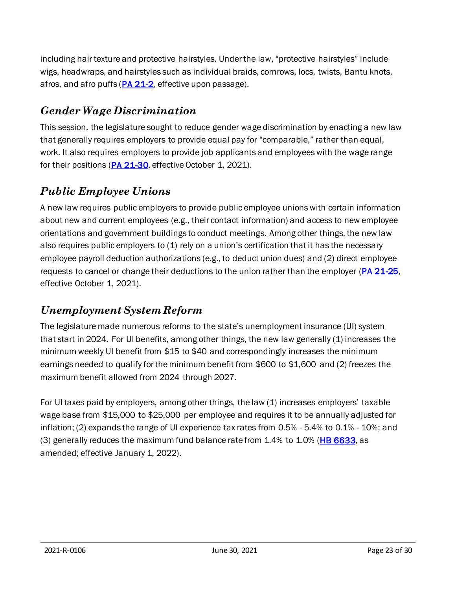including hair texture and protective hairstyles. Under the law, "protective hairstyles" include wigs, headwraps, and hairstyles such as individual braids, cornrows, locs, twists, Bantu knots, afros, and afro puffs  $(PA 21-2)$  $(PA 21-2)$ , effective upon passage).

#### *Gender Wage Discrimination*

This session, the legislature sought to reduce gender wage discrimination by enacting a new law that generally requires employers to provide equal pay for "comparable," rather than equal, work. It also requires employers to provide job applicants and employees with the wage range for their positions [\(PA 21-30](https://www.cga.ct.gov/asp/cgabillstatus/cgabillstatus.asp?selBillType=Bill&which_year=2021&bill_num=6380), effective October 1, 2021).

#### *Public Employee Unions*

A new law requires public employers to provide public employee unions with certain information about new and current employees (e.g., their contact information) and access to new employee orientations and government buildings to conduct meetings. Among other things, the new law also requires public employers to (1) rely on a union's certification that it has the necessary employee payroll deduction authorizations (e.g., to deduct union dues) and (2) direct employee requests to cancel or change their deductions to the union rather than the employer [\(PA 21-25](https://www.cga.ct.gov/asp/cgabillstatus/cgabillstatus.asp?selBillType=Bill&which_year=2021&bill_num=908), effective October 1, 2021).

#### *Unemployment System Reform*

The legislature made numerous reforms to the state's unemployment insurance (UI) system that start in 2024. For UI benefits, among other things, the new law generally (1) increases the minimum weekly UI benefit from \$15 to \$40 and correspondingly increases the minimum earnings needed to qualify for the minimum benefit from \$600 to \$1,600 and (2) freezes the maximum benefit allowed from 2024 through 2027.

For UI taxes paid by employers, among other things, the law (1) increases employers' taxable wage base from \$15,000 to \$25,000 per employee and requires it to be annually adjusted for inflation; (2) expands the range of UI experience tax rates from 0.5% - 5.4% to 0.1% - 10%; and (3) generally reduces the maximum fund balance rate from  $1.4\%$  to  $1.0\%$  ( $\overline{HB}$  6633, as amended; effective January 1, 2022).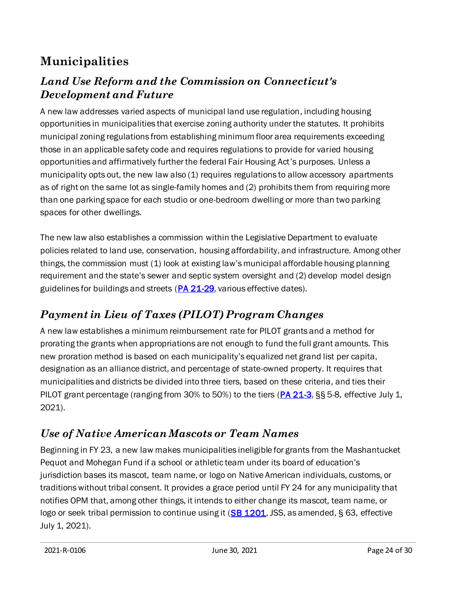# <span id="page-23-0"></span>**Municipalities**

#### *Land Use Reform and the Commission on Connecticut's Development and Future*

A new law addresses varied aspects of municipal land use regulation, including housing opportunities in municipalities that exercise zoning authority under the statutes. It prohibits municipal zoning regulations from establishing minimum floor area requirements exceeding those in an applicable safety code and requires regulations to provide for varied housing opportunities and affirmatively further the federal Fair Housing Act's purposes. Unless a municipality opts out, the new law also (1) requires regulations to allow accessory apartments as of right on the same lot as single-family homes and (2) prohibits them from requiring more than one parking space for each studio or one-bedroom dwelling or more than two parking spaces for other dwellings.

The new law also establishes a commission within the Legislative Department to evaluate policies related to land use, conservation, housing affordability, and infrastructure. Among other things, the commission must (1) look at existing law's municipal affordable housing planning requirement and the state's sewer and septic system oversight and (2) develop model design guidelines for buildings and streets [\(PA 21-29](https://www.cga.ct.gov/asp/cgabillstatus/cgabillstatus.asp?selBillType=Bill&which_year=2021&bill_num=6107), various effective dates).

## *Payment in Lieu of Taxes (PILOT) Program Changes*

A new law establishes a minimum reimbursement rate for PILOT grants and a method for prorating the grants when appropriations are not enough to fund the full grant amounts. This new proration method is based on each municipality's equalized net grand list per capita, designation as an alliance district, and percentage of state-owned property. It requires that municipalities and districts be divided into three tiers, based on these criteria, and ties their PILOT grant percentage (ranging from 30% to 50%) to the tiers [\(PA 21-3](https://www.cga.ct.gov/asp/cgabillstatus/cgabillstatus.asp?selBillType=Public+Act&which_year=2021&bill_num=3), §§ 5-8, effective July 1, 2021).

#### *Use of Native American Mascots or Team Names*

Beginning in FY 23, a new law makes municipalities ineligible for grants from the Mashantucket Pequot and Mohegan Fund if a school or athletic team under its board of education's jurisdiction bases its mascot, team name, or logo on Native American individuals, customs, or traditions without tribal consent. It provides a grace period until FY 24 for any municipality that notifies OPM that, among other things, it intends to either change its mascot, team name, or logo or seek tribal permission to continue using it [\(SB 1201](https://www.cga.ct.gov/asp/cgabillstatus/cgabillstatus.asp?selBillType=Bill&which_year=2021&bill_num=1202), JSS, as amended, § 63, effective July 1, 2021).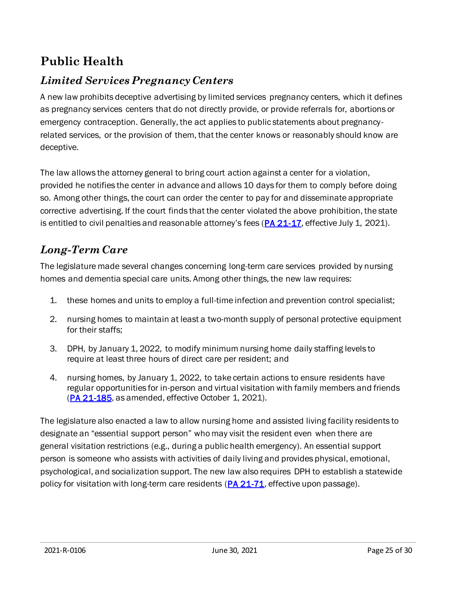# <span id="page-24-0"></span>**Public Health**

## *Limited Services Pregnancy Centers*

A new law prohibits deceptive advertising by limited services pregnancy centers, which it defines as pregnancy services centers that do not directly provide, or provide referrals for, abortions or emergency contraception. Generally, the act applies to public statements about pregnancyrelated services, or the provision of them, that the center knows or reasonably should know are deceptive.

The law allows the attorney general to bring court action against a center for a violation, provided he notifies the center in advance and allows 10 days for them to comply before doing so. Among other things, the court can order the center to pay for and disseminate appropriate corrective advertising. If the court finds that the center violated the above prohibition, the state is entitled to civil penalties and reasonable attorney's fees  $(PA 21-17)$  $(PA 21-17)$  $(PA 21-17)$ , effective July 1, 2021).

## *Long-Term Care*

The legislature made several changes concerning long-term care services provided by nursing homes and dementia special care units. Among other things, the new law requires:

- 1. these homes and units to employ a full-time infection and prevention control specialist;
- 2. nursing homes to maintain at least a two-month supply of personal protective equipment for their staffs;
- 3. DPH, by January 1, 2022, to modify minimum nursing home daily staffing levels to require at least three hours of direct care per resident; and
- 4. nursing homes, by January 1, 2022, to take certain actions to ensure residents have regular opportunities for in-person and virtual visitation with family members and friends [\(PA 21-185](http://cga.ct.gov/asp/cgabillstatus/cgabillstatus.asp?selBillType=Bill&which_year=2021&bill_num=1030), as amended, effective October 1, 2021).

The legislature also enacted a law to allow nursing home and assisted living facility residents to designate an "essential support person" who may visit the resident even when there are general visitation restrictions (e.g., during a public health emergency). An essential support person is someone who assists with activities of daily living and provides physical, emotional, psychological, and socialization support. The new law also requires DPH to establish a statewide policy for visitation with long-term care residents [\(PA 21-71](https://cga.ct.gov/asp/cgabillstatus/cgabillstatus.asp?selBillType=Bill&which_year=2021&bill_num=6634), effective upon passage).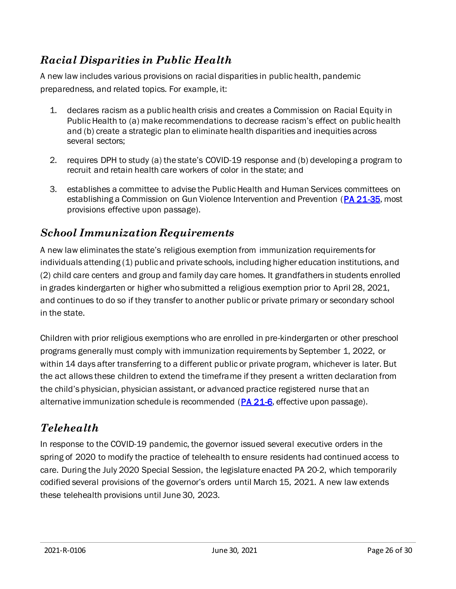#### *Racial Disparities in Public Health*

A new law includes various provisions on racial disparities in public health, pandemic preparedness, and related topics. For example, it:

- 1. declares racism as a public health crisis and creates a Commission on Racial Equity in Public Health to (a) make recommendations to decrease racism's effect on public health and (b) create a strategic plan to eliminate health disparities and inequities across several sectors;
- 2. requires DPH to study (a) the state's COVID-19 response and (b) developing a program to recruit and retain health care workers of color in the state; and
- 3. establishes a committee to advise the Public Health and Human Services committees on establishing a Commission on Gun Violence Intervention and Prevention [\(PA 21-35](https://www.cga.ct.gov/asp/cgabillstatus/cgabillstatus.asp?selBillType=Public+Act&which_year=2021&bill_num=35), most provisions effective upon passage).

#### *School Immunization Requirements*

A new law eliminates the state's religious exemption from immunization requirements for individuals attending (1) public and private schools, including higher education institutions, and (2) child care centers and group and family day care homes. It grandfathers in students enrolled in grades kindergarten or higher who submitted a religious exemption prior to April 28, 2021, and continues to do so if they transfer to another public or private primary or secondary school in the state.

Children with prior religious exemptions who are enrolled in pre-kindergarten or other preschool programs generally must comply with immunization requirements by September 1, 2022, or within 14 days after transferring to a different public or private program, whichever is later. But the act allows these children to extend the timeframe if they present a written declaration from the child's physician, physician assistant, or advanced practice registered nurse that an alternative immunization schedule is recommended  $(PA 21-6)$  $(PA 21-6)$ , effective upon passage).

## *Telehealth*

In response to the COVID-19 pandemic, the governor issued several executive orders in the spring of 2020 to modify the practice of telehealth to ensure residents had continued access to care. During the July 2020 Special Session, the legislature enacted PA 20-2, which temporarily codified several provisions of the governor's orders until March 15, 2021. A new law extends these telehealth provisions until June 30, 2023.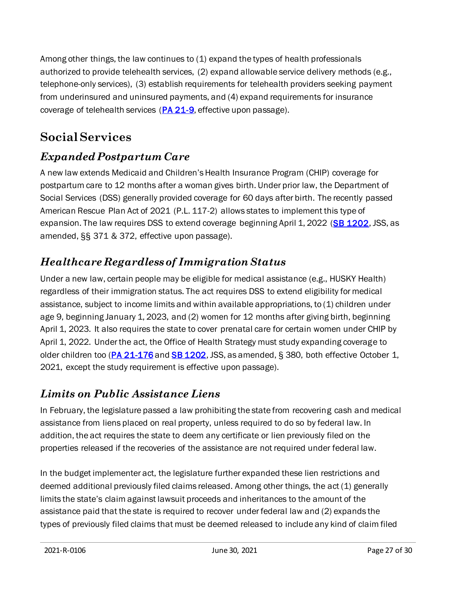Among other things, the law continues to (1) expand the types of health professionals authorized to provide telehealth services, (2) expand allowable service delivery methods (e.g., telephone-only services), (3) establish requirements for telehealth providers seeking payment from underinsured and uninsured payments, and (4) expand requirements for insurance coverage of telehealth services [\(PA 21-9](https://www.cga.ct.gov/asp/cgabillstatus/cgabillstatus.asp?selBillType=Public+Act&which_year=2021&bill_num=9), effective upon passage).

# <span id="page-26-0"></span>**Social Services**

## *Expanded Postpartum Care*

A new law extends Medicaid and Children's Health Insurance Program (CHIP) coverage for postpartum care to 12 months after a woman gives birth. Under prior law, the Department of Social Services (DSS) generally provided coverage for 60 days after birth. The recently passed American Rescue Plan Act of 2021 (P.L. 117-2) allows states to implement this type of expansion. The law requires DSS to extend coverage beginning April 1, 2022 [\(SB 1202](https://cga.ct.gov/asp/cgabillstatus/cgabillstatus.asp?selBillType=Bill&which_year=2021&bill_num=1202), JSS, as amended, §§ 371 & 372, effective upon passage).

## *Healthcare Regardless of Immigration Status*

Under a new law, certain people may be eligible for medical assistance (e.g., HUSKY Health) regardless of their immigration status. The act requires DSS to extend eligibility for medical assistance, subject to income limits and within available appropriations, to (1) children under age 9, beginning January 1, 2023, and (2) women for 12 months after giving birth, beginning April 1, 2023. It also requires the state to cover prenatal care for certain women under CHIP by April 1, 2022. Under the act, the Office of Health Strategy must study expanding coverage to older children too [\(PA 21-176](https://cga.ct.gov/asp/cgabillstatus/cgabillstatus.asp?selBillType=Bill&which_year=2021&bill_num=6687) an[d SB 1202](https://cga.ct.gov/asp/cgabillstatus/cgabillstatus.asp?selBillType=Bill&which_year=2021&bill_num=1202), JSS, as amended, § 380, both effective October 1, 2021, except the study requirement is effective upon passage).

#### *Limits on Public Assistance Liens*

In February, the legislature passed a law prohibiting the state from recovering cash and medical assistance from liens placed on real property, unless required to do so by federal law. In addition, the act requires the state to deem any certificate or lien previously filed on the properties released if the recoveries of the assistance are not required under federal law.

In the budget implementer act, the legislature further expanded these lien restrictions and deemed additional previously filed claims released. Among other things, the act (1) generally limits the state's claim against lawsuit proceeds and inheritances to the amount of the assistance paid that the state is required to recover under federal law and (2) expands the types of previously filed claims that must be deemed released to include any kind of claim filed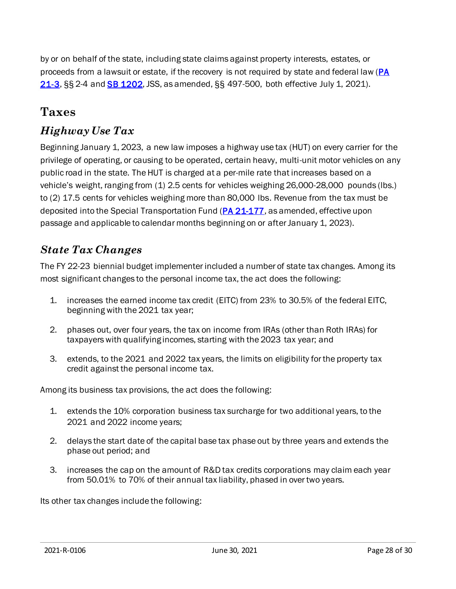by or on behalf of the state, including state claims against property interests, estates, or proceeds from a lawsuit or estate, if the recovery is not required by state and federal law [\(PA](https://www.cga.ct.gov/asp/cgabillstatus/cgabillstatus.asp?selBillType=Public+Act&which_year=2021&bill_num=3)  [21-3](https://www.cga.ct.gov/asp/cgabillstatus/cgabillstatus.asp?selBillType=Public+Act&which_year=2021&bill_num=3), §§ 2-4 an[d SB 1202](https://www.cga.ct.gov/asp/cgabillstatus/cgabillstatus.asp?selBillType=Bill&which_year=2021&bill_num=1202), JSS, as amended, §§ 497-500, both effective July 1, 2021).

#### <span id="page-27-0"></span>**Taxes**

#### *Highway Use Tax*

Beginning January 1, 2023, a new law imposes a highway use tax (HUT) on every carrier for the privilege of operating, or causing to be operated, certain heavy, multi-unit motor vehicles on any public road in the state. The HUT is charged at a per-mile rate that increases based on a vehicle's weight, ranging from (1) 2.5 cents for vehicles weighing 26,000-28,000 pounds (lbs.) to (2) 17.5 cents for vehicles weighing more than 80,000 lbs. Revenue from the tax must be deposited into the Special Transportation Fund [\(PA 21-177](https://www.cga.ct.gov/asp/cgabillstatus/cgabillstatus.asp?selBillType=Bill&which_year=2021&bill_num=6688), as amended, effective upon passage and applicable to calendar months beginning on or after January 1, 2023).

#### *State Tax Changes*

The FY 22-23 biennial budget implementer included a number of state tax changes. Among its most significant changes to the personal income tax, the act does the following:

- 1. increases the earned income tax credit (EITC) from 23% to 30.5% of the federal EITC, beginning with the 2021 tax year;
- 2. phases out, over four years, the tax on income from IRAs (other than Roth IRAs) for taxpayers with qualifying incomes, starting with the 2023 tax year; and
- 3. extends, to the 2021 and 2022 tax years, the limits on eligibility for the property tax credit against the personal income tax.

Among its business tax provisions, the act does the following:

- 1. extends the 10% corporation business tax surcharge for two additional years, to the 2021 and 2022 income years;
- 2. delays the start date of the capital base tax phase out by three years and extends the phase out period; and
- 3. increases the cap on the amount of R&D tax credits corporations may claim each year from 50.01% to 70% of their annual tax liability, phased in over two years.

Its other tax changes include the following: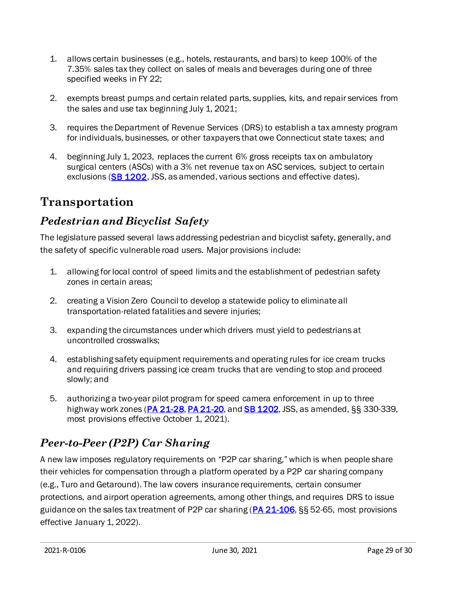- 1. allows certain businesses (e.g., hotels, restaurants, and bars) to keep 100% of the 7.35% sales tax they collect on sales of meals and beverages during one of three specified weeks in FY 22;
- 2. exempts breast pumps and certain related parts, supplies, kits, and repair services from the sales and use tax beginning July 1, 2021;
- 3. requires the Department of Revenue Services (DRS) to establish a tax amnesty program for individuals, businesses, or other taxpayers that owe Connecticut state taxes; and
- 4. beginning July 1, 2023, replaces the current 6% gross receipts tax on ambulatory surgical centers (ASCs) with a 3% net revenue tax on ASC services, subject to certain exclusions [\(SB 1202](https://cga.ct.gov/asp/cgabillstatus/cgabillstatus.asp?selBillType=Bill&which_year=2021&bill_num=1202), JSS, as amended, various sections and effective dates).

## <span id="page-28-0"></span>**Transportation**

#### *Pedestrian and Bicyclist Safety*

The legislature passed several laws addressing pedestrian and bicyclist safety, generally, and the safety of specific vulnerable road users. Major provisions include:

- 1. allowing for local control of speed limits and the establishment of pedestrian safety zones in certain areas;
- 2. creating a Vision Zero Council to develop a statewide policy to eliminate all transportation-related fatalities and severe injuries;
- 3. expanding the circumstances under which drivers must yield to pedestrians at uncontrolled crosswalks;
- 4. establishing safety equipment requirements and operating rules for ice cream trucks and requiring drivers passing ice cream trucks that are vending to stop and proceed slowly; and
- 5. authorizing a two-year pilot program for speed camera enforcement in up to three highway work zones ( $PA$  21-28,  $PA$  21-20, and  $SB$  1202, JSS, as amended,  $\S$ § 330-339, most provisions effective October 1, 2021).

# *Peer-to-Peer (P2P) Car Sharing*

A new law imposes regulatory requirements on "P2P car sharing," which is when people share their vehicles for compensation through a platform operated by a P2P car sharing company (e.g., Turo and Getaround). The law covers insurance requirements, certain consumer protections, and airport operation agreements, among other things, and requires DRS to issue guidance on the sales tax treatment of P2P car sharing  $(PA 21-106, S)$  $(PA 21-106, S)$  52-65, most provisions effective January 1, 2022).